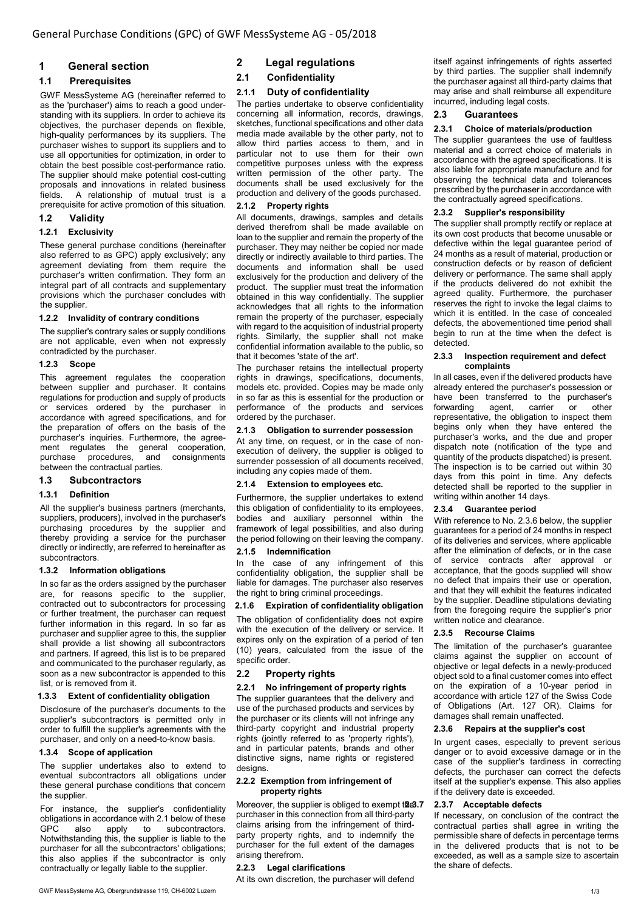# 1 General section

# 1.1 Prerequisites

GWF MessSysteme AG (hereinafter referred to as the 'purchaser') aims to reach a good understanding with its suppliers. In order to achieve its objectives, the purchaser depends on flexible, high-quality performances by its suppliers. The purchaser wishes to support its suppliers and to use all opportunities for optimization, in order to obtain the best possible cost-performance ratio. The supplier should make potential cost-cutting proposals and innovations in related business A relationship of mutual trust is a prerequisite for active promotion of this situation.

# 1.2 Validity

#### 1.2.1 Exclusivity

These general purchase conditions (hereinafter also referred to as GPC) apply exclusively; any agreement deviating from them require the purchaser's written confirmation. They form an integral part of all contracts and supplementary provisions which the purchaser concludes with the supplier.

#### 1.2.2 Invalidity of contrary conditions

The supplier's contrary sales or supply conditions are not applicable, even when not expressly contradicted by the purchaser.

# 1.2.3 Scope

This agreement regulates the cooperation between supplier and purchaser. It contains regulations for production and supply of products or services ordered by the purchaser in accordance with agreed specifications, and for the preparation of offers on the basis of the purchaser's inquiries. Furthermore, the agreement regulates the general cooperation, purchase procedures, and consignments between the contractual parties.

# 1.3 Subcontractors

# 1.3.1 Definition

All the supplier's business partners (merchants, suppliers, producers), involved in the purchaser's purchasing procedures by the supplier and thereby providing a service for the purchaser directly or indirectly, are referred to hereinafter as subcontractors.

#### 1.3.2 Information obligations

In so far as the orders assigned by the purchaser are, for reasons specific to the supplier, contracted out to subcontractors for processing or further treatment, the purchaser can request further information in this regard. In so far as purchaser and supplier agree to this, the supplier shall provide a list showing all subcontractors and partners. If agreed, this list is to be prepared and communicated to the purchaser regularly, as soon as a new subcontractor is appended to this list, or is removed from it.

# 1.3.3 Extent of confidentiality obligation

Disclosure of the purchaser's documents to the supplier's subcontractors is permitted only in order to fulfill the supplier's agreements with the purchaser, and only on a need-to-know basis.

# 1.3.4 Scope of application

The supplier undertakes also to extend to eventual subcontractors all obligations under these general purchase conditions that concern the supplier.

For instance, the supplier's confidentiality obligations in accordance with 2.1 below of these<br>GPC also apply to subcontractors. subcontractors. Notwithstanding this, the supplier is liable to the purchaser for all the subcontractors' obligations; this also applies if the subcontractor is only contractually or legally liable to the supplier.

2.1 Confidentiality

# 2.1.1 Duty of confidentiality

The parties undertake to observe confidentiality concerning all information, records, drawings, sketches, functional specifications and other data media made available by the other party, not to allow third parties access to them, and in particular not to use them for their own competitive purposes unless with the express written permission of the other party. The documents shall be used exclusively for the production and delivery of the goods purchased.

# 2.1.2 Property rights

All documents, drawings, samples and details derived therefrom shall be made available on loan to the supplier and remain the property of the purchaser. They may neither be copied nor made directly or indirectly available to third parties. The documents and information shall be used exclusively for the production and delivery of the product. The supplier must treat the information obtained in this way confidentially. The supplier acknowledges that all rights to the information remain the property of the purchaser, especially with regard to the acquisition of industrial property rights. Similarly, the supplier shall not make confidential information available to the public, so that it becomes 'state of the art'.

The purchaser retains the intellectual property rights in drawings, specifications, documents, models etc. provided. Copies may be made only in so far as this is essential for the production or performance of the products and services ordered by the purchaser.

#### 2.1.3 Obligation to surrender possession

At any time, on request, or in the case of nonexecution of delivery, the supplier is obliged to surrender possession of all documents received, including any copies made of them.

# 2.1.4 Extension to employees etc.

Furthermore, the supplier undertakes to extend this obligation of confidentiality to its employees, bodies and auxiliary personnel within the framework of legal possibilities, and also during the period following on their leaving the company.

# 2.1.5 Indemnification

In the case of any infringement of this confidentiality obligation, the supplier shall be liable for damages. The purchaser also reserves the right to bring criminal proceedings.

#### 2.1.6 Expiration of confidentiality obligation

The obligation of confidentiality does not expire with the execution of the delivery or service. It expires only on the expiration of a period of ten (10) years, calculated from the issue of the specific order.

# 2.2 Property rights

# 2.2.1 No infringement of property rights

The supplier guarantees that the delivery and use of the purchased products and services by the purchaser or its clients will not infringe any third-party copyright and industrial property rights (jointly referred to as 'property rights'), and in particular patents, brands and other distinctive signs, name rights or registered designs.

#### 2.2.2 Exemption from infringement of property rights

Moreover, the supplier is obliged to exempt tae3.7 purchaser in this connection from all third-party claims arising from the infringement of thirdparty property rights, and to indemnify the purchaser for the full extent of the damages arising therefrom.

# 2.2.3 Legal clarifications

At its own discretion, the purchaser will defend

itself against infringements of rights asserted by third parties. The supplier shall indemnify the purchaser against all third-party claims that may arise and shall reimburse all expenditure incurred, including legal costs.

# 2.3 Guarantees

#### 2.3.1 Choice of materials/production

The supplier quarantees the use of faultless material and a correct choice of materials in accordance with the agreed specifications. It is also liable for appropriate manufacture and for observing the technical data and tolerances prescribed by the purchaser in accordance with the contractually agreed specifications.

# 2.3.2 Supplier's responsibility

The supplier shall promptly rectify or replace at its own cost products that become unusable or defective within the legal guarantee period of 24 months as a result of material, production or construction defects or by reason of deficient delivery or performance. The same shall apply if the products delivered do not exhibit the agreed quality. Furthermore, the purchaser reserves the right to invoke the legal claims to which it is entitled. In the case of concealed defects, the abovementioned time period shall begin to run at the time when the defect is detected.

#### 2.3.3 Inspection requirement and defect complaints

In all cases, even if the delivered products have already entered the purchaser's possession or have been transferred to the purchaser's<br>forwarding agent, carrier or other forwarding agent, carrier or other representative, the obligation to inspect them begins only when they have entered the purchaser's works, and the due and proper dispatch note (notification of the type and quantity of the products dispatched) is present. The inspection is to be carried out within 30 days from this point in time. Any defects detected shall be reported to the supplier in writing within another 14 days.

# 2.3.4 Guarantee period

With reference to No. 2.3.6 below, the supplier guarantees for a period of 24 months in respect of its deliveries and services, where applicable after the elimination of defects, or in the case of service contracts after approval or acceptance, that the goods supplied will show no defect that impairs their use or operation, and that they will exhibit the features indicated by the supplier. Deadline stipulations deviating from the foregoing require the supplier's prior written notice and clearance.

# 2.3.5 Recourse Claims

The limitation of the purchaser's guarantee claims against the supplier on account of objective or legal defects in a newly-produced object sold to a final customer comes into effect on the expiration of a 10-year period in accordance with article 127 of the Swiss Code of Obligations (Art. 127 OR). Claims for damages shall remain unaffected.

#### 2.3.6 Repairs at the supplier's cost

In urgent cases, especially to prevent serious danger or to avoid excessive damage or in the case of the supplier's tardiness in correcting defects, the purchaser can correct the defects itself at the supplier's expense. This also applies if the delivery date is exceeded.

# 2.3.7 Acceptable defects

If necessary, on conclusion of the contract the contractual parties shall agree in writing the permissible share of defects in percentage terms in the delivered products that is not to be exceeded, as well as a sample size to ascertain the share of defects.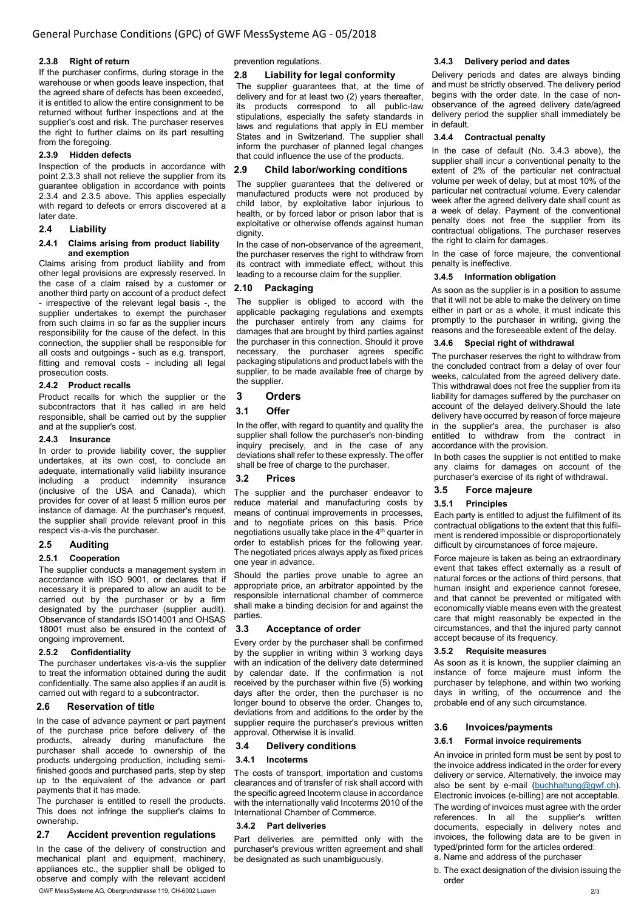#### 2.3.8 Right of return

If the purchaser confirms, during storage in the warehouse or when goods leave inspection, that the agreed share of defects has been exceeded, it is entitled to allow the entire consignment to be returned without further inspections and at the supplier's cost and risk. The purchaser reserves the right to further claims on its part resulting from the foregoing.

#### 2.3.9 Hidden defects

Inspection of the products in accordance with point 2.3.3 shall not relieve the supplier from its guarantee obligation in accordance with points 2.3.4 and 2.3.5 above. This applies especially with regard to defects or errors discovered at a later date.

#### 2.4 Liability

#### 2.4.1 Claims arising from product liability and exemption

Claims arising from product liability and from other legal provisions are expressly reserved. In the case of a claim raised by a customer or another third party on account of a product defect - irrespective of the relevant legal basis -, the supplier undertakes to exempt the purchaser from such claims in so far as the supplier incurs responsibility for the cause of the defect. In this connection, the supplier shall be responsible for all costs and outgoings - such as e.g. transport, fitting and removal costs - including all legal prosecution costs.

#### 2.4.2 Product recalls

Product recalls for which the supplier or the subcontractors that it has called in are held responsible, shall be carried out by the supplier and at the supplier's cost.

#### 2.4.3 Insurance

In order to provide liability cover, the supplier undertakes, at its own cost, to conclude an adequate, internationally valid liability insurance including a product indemnity insurance (inclusive of the USA and Canada), which provides for cover of at least 5 million euros per instance of damage. At the purchaser's request, the supplier shall provide relevant proof in this respect vis-a-vis the purchaser.

#### 2.5 Auditing

#### 2.5.1 Cooperation

The supplier conducts a management system in accordance with ISO 9001, or declares that if necessary it is prepared to allow an audit to be carried out by the purchaser or by a firm designated by the purchaser (supplier audit). Observance of standards ISO14001 and OHSAS 18001 must also be ensured in the context of ongoing improvement.

#### 2.5.2 Confidentiality

The purchaser undertakes vis-a-vis the supplier to treat the information obtained during the audit confidentially. The same also applies if an audit is carried out with regard to a subcontractor.

#### 2.6 Reservation of title

In the case of advance payment or part payment of the purchase price before delivery of the products, already during manufacture the purchaser shall accede to ownership of the products undergoing production, including semifinished goods and purchased parts, step by step up to the equivalent of the advance or part payments that it has made.

The purchaser is entitled to resell the products. This does not infringe the supplier's claims to ownership.

# 2.7 Accident prevention regulations

In the case of the delivery of construction and mechanical plant and equipment, machinery, appliances etc., the supplier shall be obliged to observe and comply with the relevant accident

prevention regulations.

#### 2.8 Liability for legal conformity

The supplier guarantees that, at the time of delivery and for at least two (2) years thereafter, its products correspond to all public-law stipulations, especially the safety standards in laws and regulations that apply in EU member States and in Switzerland. The supplier shall inform the purchaser of planned legal changes that could influence the use of the products.

#### 2.9 Child labor/working conditions

The supplier guarantees that the delivered or manufactured products were not produced by child labor, by exploitative labor injurious to health, or by forced labor or prison labor that is exploitative or otherwise offends against human dignity.

In the case of non-observance of the agreement, the purchaser reserves the right to withdraw from its contract with immediate effect, without this leading to a recourse claim for the supplier.

# 2.10 Packaging

The supplier is obliged to accord with the applicable packaging regulations and exempts the purchaser entirely from any claims for damages that are brought by third parties against the purchaser in this connection. Should it prove necessary, the purchaser agrees specific packaging stipulations and product labels with the supplier, to be made available free of charge by the supplier.

#### 3 Orders

#### 3.1 Offer

In the offer, with regard to quantity and quality the supplier shall follow the purchaser's non-binding inquiry precisely, and in the case of any deviations shall refer to these expressly. The offer shall be free of charge to the purchaser.

#### 3.2 Prices

The supplier and the purchaser endeavor to reduce material and manufacturing costs by means of continual improvements in processes, and to negotiate prices on this basis. Price negotiations usually take place in the 4<sup>th</sup> quarter in order to establish prices for the following year. The negotiated prices always apply as fixed prices one year in advance.

Should the parties prove unable to agree an appropriate price, an arbitrator appointed by the responsible international chamber of commerce shall make a binding decision for and against the parties.

#### 3.3 Acceptance of order

Every order by the purchaser shall be confirmed by the supplier in writing within 3 working days with an indication of the delivery date determined by calendar date. If the confirmation is not received by the purchaser within five (5) working days after the order, then the purchaser is no longer bound to observe the order. Changes to, deviations from and additions to the order by the supplier require the purchaser's previous written approval. Otherwise it is invalid.

#### 3.4 Delivery conditions

#### 3.4.1 Incoterms

The costs of transport, importation and customs clearances and of transfer of risk shall accord with the specific agreed Incoterm clause in accordance with the internationally valid Incoterms 2010 of the International Chamber of Commerce.

#### 3.4.2 Part deliveries

Part deliveries are permitted only with the purchaser's previous written agreement and shall be designated as such unambiguously.

#### 3.4.3 Delivery period and dates

Delivery periods and dates are always binding and must be strictly observed. The delivery period begins with the order date. In the case of nonobservance of the agreed delivery date/agreed delivery period the supplier shall immediately be in default.

# 3.4.4 Contractual penalty

In the case of default (No. 3.4.3 above), the supplier shall incur a conventional penalty to the extent of 2% of the particular net contractual volume per week of delay, but at most 10% of the particular net contractual volume. Every calendar week after the agreed delivery date shall count as a week of delay. Payment of the conventional penalty does not free the supplier from its contractual obligations. The purchaser reserves the right to claim for damages.

In the case of force majeure, the conventional penalty is ineffective.

# 3.4.5 Information obligation

As soon as the supplier is in a position to assume that it will not be able to make the delivery on time either in part or as a whole, it must indicate this promptly to the purchaser in writing, giving the reasons and the foreseeable extent of the delay.

#### 3.4.6 Special right of withdrawal

The purchaser reserves the right to withdraw from the concluded contract from a delay of over four weeks, calculated from the agreed delivery date. This withdrawal does not free the supplier from its liability for damages suffered by the purchaser on account of the delayed delivery.Should the late delivery have occurred by reason of force majeure in the supplier's area, the purchaser is also entitled to withdraw from the contract in accordance with the provision.

In both cases the supplier is not entitled to make any claims for damages on account of the purchaser's exercise of its right of withdrawal.

#### 3.5 Force majeure

#### 3.5.1 Principles

Each party is entitled to adjust the fulfilment of its contractual obligations to the extent that this fulfilment is rendered impossible or disproportionately difficult by circumstances of force majeure.

Force majeure is taken as being an extraordinary event that takes effect externally as a result of natural forces or the actions of third persons, that human insight and experience cannot foresee, and that cannot be prevented or mitigated with economically viable means even with the greatest care that might reasonably be expected in the circumstances, and that the injured party cannot accept because of its frequency.

#### 3.5.2 Requisite measures

As soon as it is known, the supplier claiming an instance of force majeure must inform the purchaser by telephone, and within two working days in writing, of the occurrence and the probable end of any such circumstance.

#### 3.6 Invoices/payments

#### 3.6.1 Formal invoice requirements

An invoice in printed form must be sent by post to the invoice address indicated in the order for every delivery or service. Alternatively, the invoice may also be sent by e-mail (buchhaltung@gwf.ch). Electronic invoices (e-billing) are not acceptable. The wording of invoices must agree with the order references. In all the supplier's written documents, especially in delivery notes and invoices, the following data are to be given in typed/printed form for the articles ordered: a. Name and address of the purchaser

- 
- b. The exact designation of the division issuing the order